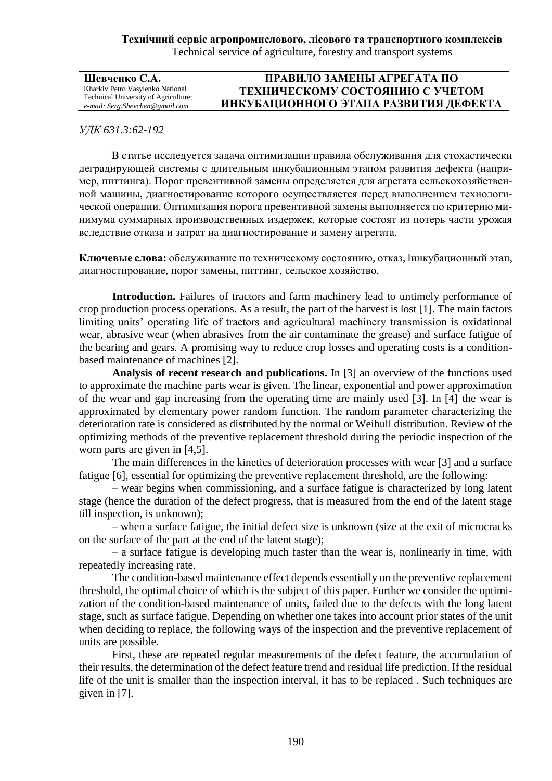| Шевченко С.А.                                                                                               | ПРАВИЛО ЗАМЕНЫ АГРЕГАТА ПО                                               |
|-------------------------------------------------------------------------------------------------------------|--------------------------------------------------------------------------|
| Kharkiv Petro Vasylenko National<br>Technical University of Agriculture;<br>e-mail: Serg.Shevchen@gmail.com | ТЕХНИЧЕСКОМУ СОСТОЯНИЮ С УЧЕТОМ<br>ИНКУБАЦИОННОГО ЭТАПА РАЗВИТИЯ ДЕФЕКТА |

## *УДК 631.3:62-192*

В статье исследуется задача оптимизации правила обслуживания для стохастически деградирующей системы с длительным инкубационным этапом развития дефекта (например, питтинга). Порог превентивной замены определяется для агрегата сельскохозяйственной машины, диагностирование которого осуществляется перед выполнением технологической операции. Оптимизация порога превентивной замены выполняется по критерию минимума суммарных производственных издержек, которые состоят из потерь части урожая вследствие отказа и затрат на диагностирование и замену агрегата.

**Ключевые слова:** обслуживание по техническому состоянию, отказ, lинкубационный этап, диагностирование, порог замены, питтинг, сельское хозяйство.

**Introduction.** Failures of tractors and farm machinery lead to untimely performance of crop production process operations. As a result, the part of the harvest is lost [1]. The main factors limiting units' operating life of tractors and agricultural machinery transmission is oxidational wear, abrasive wear (when abrasives from the air contaminate the grease) and surface fatigue of the bearing and gears. A promising way to reduce crop losses and operating costs is a conditionbased maintenance of machines [2].

**Analysis of recent research and publications.** In [3] an overview of the functions used to approximate the machine parts wear is given. The linear, exponential and power approximation of the wear and gap increasing from the operating time are mainly used [3]. In [4] the wear is approximated by elementary power random function. The random parameter characterizing the deterioration rate is considered as distributed by the normal or Weibull distribution. Review of the optimizing methods of the preventive replacement threshold during the periodic inspection of the worn parts are given in [4,5].

The main differences in the kinetics of deterioration processes with wear [3] and a surface fatigue [6], essential for optimizing the preventive replacement threshold, are the following:

– wear begins when commissioning, and a surface fatigue is characterized by long latent stage (hence the duration of the defect progress, that is measured from the end of the latent stage till inspection, is unknown);

– when a surface fatigue, the initial defect size is unknown (size at the exit of microcracks on the surface of the part at the end of the latent stage);

– a surface fatigue is developing much faster than the wear is, nonlinearly in time, with repeatedly increasing rate.

The condition-based maintenance effect depends essentially on the preventive replacement threshold, the optimal choice of which is the subject of this paper. Further we consider the optimization of the condition-based maintenance of units, failed due to the defects with the long latent stage, such as surface fatigue. Depending on whether one takes into account prior states of the unit when deciding to replace, the following ways of the inspection and the preventive replacement of units are possible.

First, these are repeated regular measurements of the defect feature, the accumulation of their results, the determination of the defect feature trend and residual life prediction. If the residual life of the unit is smaller than the inspection interval, it has to be replaced . Such techniques are given in [7].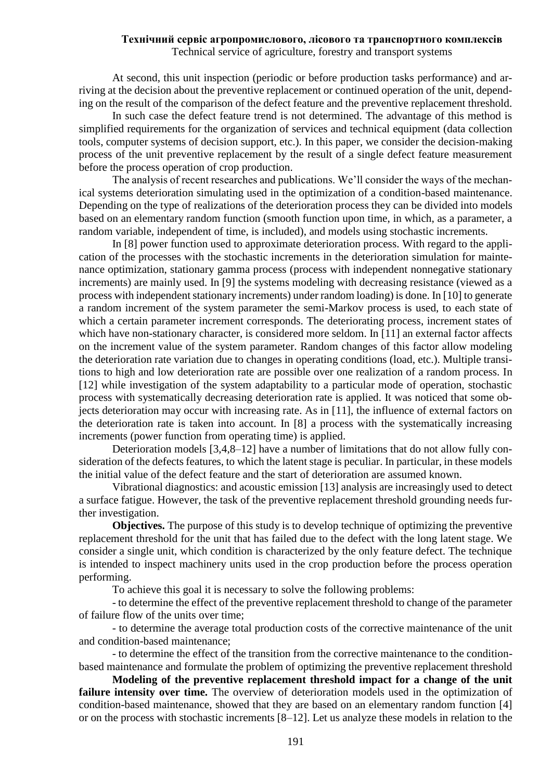At second, this unit inspection (periodic or before production tasks performance) and arriving at the decision about the preventive replacement or continued operation of the unit, depending on the result of the comparison of the defect feature and the preventive replacement threshold.

In such case the defect feature trend is not determined. The advantage of this method is simplified requirements for the organization of services and technical equipment (data collection tools, computer systems of decision support, etc.). In this paper, we consider the decision-making process of the unit preventive replacement by the result of a single defect feature measurement before the process operation of crop production.

The analysis of recent researches and publications. We'll consider the ways of the mechanical systems deterioration simulating used in the optimization of a condition-based maintenance. Depending on the type of realizations of the deterioration process they can be divided into models based on an elementary random function (smooth function upon time, in which, as a parameter, a random variable, independent of time, is included), and models using stochastic increments.

In [8] power function used to approximate deterioration process. With regard to the application of the processes with the stochastic increments in the deterioration simulation for maintenance optimization, stationary gamma process (process with independent nonnegative stationary increments) are mainly used. In [9] the systems modeling with decreasing resistance (viewed as a process with independent stationary increments) under random loading) is done. In [10] to generate a random increment of the system parameter the semi-Markov process is used, to each state of which a certain parameter increment corresponds. The deteriorating process, increment states of which have non-stationary character, is considered more seldom. In [11] an external factor affects on the increment value of the system parameter. Random changes of this factor allow modeling the deterioration rate variation due to changes in operating conditions (load, etc.). Multiple transitions to high and low deterioration rate are possible over one realization of a random process. In [12] while investigation of the system adaptability to a particular mode of operation, stochastic process with systematically decreasing deterioration rate is applied. It was noticed that some objects deterioration may occur with increasing rate. As in [11], the influence of external factors on the deterioration rate is taken into account. In [8] a process with the systematically increasing increments (power function from operating time) is applied.

Deterioration models [3,4,8–12] have a number of limitations that do not allow fully consideration of the defects features, to which the latent stage is peculiar. In particular, in these models the initial value of the defect feature and the start of deterioration are assumed known.

Vibrational diagnostics: and acoustic emission [13] analysis are increasingly used to detect a surface fatigue. However, the task of the preventive replacement threshold grounding needs further investigation.

**Objectives.** The purpose of this study is to develop technique of optimizing the preventive replacement threshold for the unit that has failed due to the defect with the long latent stage. We consider a single unit, which condition is characterized by the only feature defect. The technique is intended to inspect machinery units used in the crop production before the process operation performing.

To achieve this goal it is necessary to solve the following problems:

- to determine the effect of the preventive replacement threshold to change of the parameter of failure flow of the units over time;

- to determine the average total production costs of the corrective maintenance of the unit and condition-based maintenance;

- to determine the effect of the transition from the corrective maintenance to the conditionbased maintenance and formulate the problem of optimizing the preventive replacement threshold

**Modeling of the preventive replacement threshold impact for a change of the unit**  failure intensity over time. The overview of deterioration models used in the optimization of condition-based maintenance, showed that they are based on an elementary random function [4] or on the process with stochastic increments [8–12]. Let us analyze these models in relation to the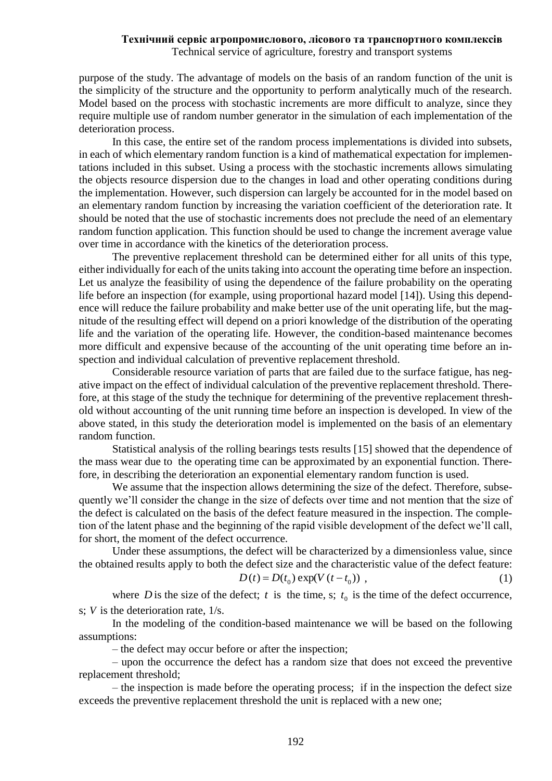purpose of the study. The advantage of models on the basis of an random function of the unit is the simplicity of the structure and the opportunity to perform analytically much of the research. Model based on the process with stochastic increments are more difficult to analyze, since they require multiple use of random number generator in the simulation of each implementation of the deterioration process.

In this case, the entire set of the random process implementations is divided into subsets, in each of which elementary random function is a kind of mathematical expectation for implementations included in this subset. Using a process with the stochastic increments allows simulating the objects resource dispersion due to the changes in load and other operating conditions during the implementation. However, such dispersion can largely be accounted for in the model based on an elementary random function by increasing the variation coefficient of the deterioration rate. It should be noted that the use of stochastic increments does not preclude the need of an elementary random function application. This function should be used to change the increment average value over time in accordance with the kinetics of the deterioration process.

The preventive replacement threshold can be determined either for all units of this type, either individually for each of the units taking into account the operating time before an inspection. Let us analyze the feasibility of using the dependence of the failure probability on the operating life before an inspection (for example, using proportional hazard model [14]). Using this dependence will reduce the failure probability and make better use of the unit operating life, but the magnitude of the resulting effect will depend on a priori knowledge of the distribution of the operating life and the variation of the operating life. However, the condition-based maintenance becomes more difficult and expensive because of the accounting of the unit operating time before an inspection and individual calculation of preventive replacement threshold.

Considerable resource variation of parts that are failed due to the surface fatigue, has negative impact on the effect of individual calculation of the preventive replacement threshold. Therefore, аt this stage of the study the technique for determining of the preventive replacement threshold without accounting of the unit running time before an inspection is developed. In view of the above stated, in this study the deterioration model is implemented on the basis of an elementary random function.

Statistical analysis of the rolling bearings tests results [15] showed that the dependence of the mass wear due to the operating time can be approximated by an exponential function. Therefore, in describing the deterioration an exponential elementary random function is used.

We assume that the inspection allows determining the size of the defect. Therefore, subsequently we'll consider the change in the size of defects over time and not mention that the size of the defect is calculated on the basis of the defect feature measured in the inspection. The completion of the latent phase and the beginning of the rapid visible development of the defect we'll call, for short, the moment of the defect occurrence.

Under these assumptions, the defect will be characterized by a dimensionless value, since the obtained results apply to both the defect size and the characteristic value of the defect feature:

$$
D(t) = D(t_0) \exp(V(t - t_0)),
$$
\n(1)

where *D* is the size of the defect; *t* is the time, *s*;  $t_0$  is the time of the defect occurrence, s;  $V$  is the deterioration rate,  $1/s$ .

In the modeling of the condition-based maintenance we will be based on the following assumptions:

– the defect may occur before or after the inspection;

– upon the occurrence the defect has a random size that does not exceed the preventive replacement threshold;

– the inspection is made before the operating process; if in the inspection the defect size exceeds the preventive replacement threshold the unit is replaced with a new one;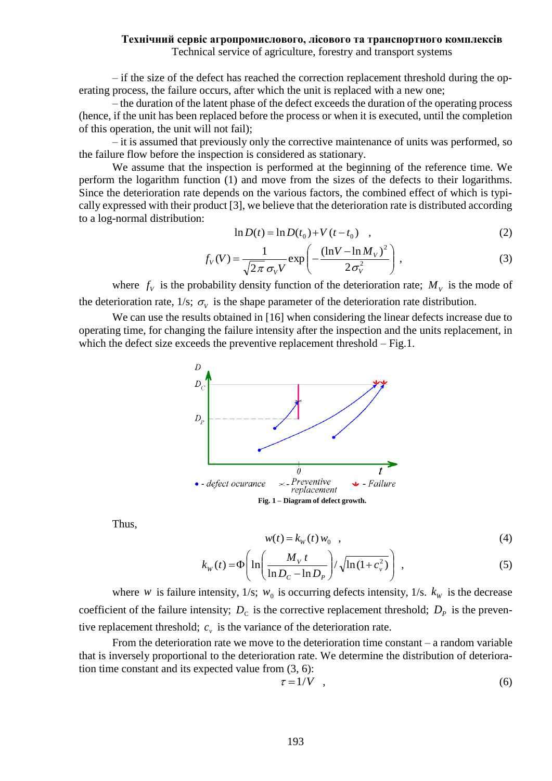– if the size of the defect has reached the correction replacement threshold during the operating process, the failure occurs, after which the unit is replaced with a new one;

– the duration of the latent phase of the defect exceeds the duration of the operating process (hence, if the unit has been replaced before the process or when it is executed, until the completion of this operation, the unit will not fail);

– it is assumed that previously only the corrective maintenance of units was performed, so the failure flow before the inspection is considered as stationary.

We assume that the inspection is performed at the beginning of the reference time. We perform the logarithm function (1) and move from the sizes of the defects to their logarithms. Since the deterioration rate depends on the various factors, the combined effect of which is typically expressed with their product [3], we believe that the deterioration rate is distributed according to a log-normal distribution:

$$
\ln D(t) = \ln D(t_0) + V(t - t_0) \quad , \tag{2}
$$

$$
f_V(V) = \frac{1}{\sqrt{2\pi} \sigma_V V} \exp\left(-\frac{(\ln V - \ln M_V)^2}{2\sigma_V^2}\right),\tag{3}
$$

where  $f_V$  is the probability density function of the deterioration rate;  $M_V$  is the mode of the deterioration rate,  $1/s$ ;  $\sigma_V$  is the shape parameter of the deterioration rate distribution.

We can use the results obtained in [16] when considering the linear defects increase due to operating time, for changing the failure intensity after the inspection and the units replacement, in which the defect size exceeds the preventive replacement threshold – Fig.1.



Thus,

$$
w(t) = kW(t) w0 , \t\t(4)
$$

$$
k_{w}(t) = \Phi\left(\ln\left(\frac{M_{v}t}{\ln D_{c} - \ln D_{p}}\right) / \sqrt{\ln(1 + c_{v}^{2})}\right),
$$
\n(5)

where *w* is failure intensity, 1/s;  $w_0$  is occurring defects intensity, 1/s.  $k_w$  is the decrease coefficient of the failure intensity;  $D_c$  is the corrective replacement threshold;  $D_p$  is the preventive replacement threshold;  $c<sub>v</sub>$  is the variance of the deterioration rate.

From the deterioration rate we move to the deterioration time constant – a random variable that is inversely proportional to the deterioration rate. We determine the distribution of deterioration time constant and its expected value from (3, 6):

$$
\tau = 1/V \quad , \tag{6}
$$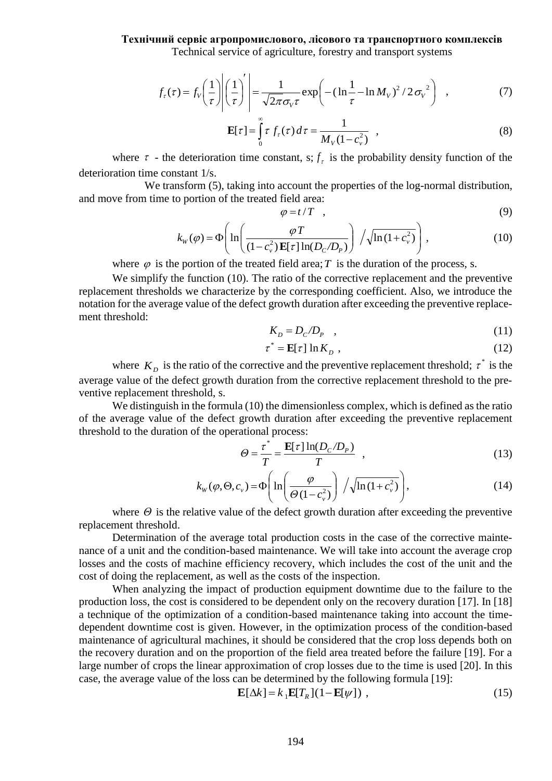$$
f_{\tau}(\tau) = f_{V}\left(\frac{1}{\tau}\right)\left|\left(\frac{1}{\tau}\right)'\right| = \frac{1}{\sqrt{2\pi}\sigma_{V}\tau} \exp\left(-\left(\ln\frac{1}{\tau} - \ln M_{V}\right)^{2}/2\sigma_{V}^{2}\right) , \qquad (7)
$$

$$
\mathbf{E}[\tau] = \int_{0}^{\infty} \tau f_{\tau}(\tau) d\tau = \frac{1}{M_{V}(1 - c_{\nu}^{2})}, \qquad (8)
$$

where  $\tau$  - the deterioration time constant, s;  $f_{\tau}$  is the probability density function of the deterioration time constant 1/s.

We transform (5), taking into account the properties of the log-normal distribution, and move from time to portion of the treated field area:

$$
\varphi = t/T \quad , \tag{9}
$$

$$
k_{w}(\varphi) = \Phi\left(\ln\left(\frac{\varphi T}{(1-c_{v}^{2})\mathbf{E}[\tau]\ln(D_{C}/D_{P})}\right) / \sqrt{\ln(1+c_{v}^{2})}\right),
$$
\n(10)

where  $\varphi$  is the portion of the treated field area; T is the duration of the process, s.

We simplify the function (10). The ratio of the corrective replacement and the preventive replacement thresholds we characterize by the corresponding coefficient. Also, we introduce the notation for the average value of the defect growth duration after exceeding the preventive replacement threshold:

$$
K_D = D_C/D_P \quad , \tag{11}
$$

$$
\tau^* = \mathbf{E}[\tau] \ln K_D , \qquad (12)
$$

where  $K_D$  is the ratio of the corrective and the preventive replacement threshold;  $\tau^*$  is the average value of the defect growth duration from the corrective replacement threshold to the preventive replacement threshold, s.

We distinguish in the formula (10) the dimensionless complex, which is defined as the ratio of the average value of the defect growth duration after exceeding the preventive replacement threshold to the duration of the operational process:

$$
\Theta = \frac{\tau^*}{T} = \frac{\mathbf{E}[\tau] \ln(D_c/D_p)}{T} , \qquad (13)
$$

$$
k_{w}(\varphi,\Theta,c_{v}) = \Phi\left(\ln\left(\frac{\varphi}{\Theta(1-c_{v}^{2})}\right) / \sqrt{\ln(1+c_{v}^{2})}\right),\tag{14}
$$

where  $\Theta$  is the relative value of the defect growth duration after exceeding the preventive replacement threshold.

Determination of the average total production costs in the case of the corrective maintenance of a unit and the condition-based maintenance. We will take into account the average crop losses and the costs of machine efficiency recovery, which includes the cost of the unit and the cost of doing the replacement, as well as the costs of the inspection.

 $\frac{1}{\sqrt{V_{\nu}\tau}} \exp\left[-(\ln\frac{1}{\tau}-\ln M_{V})^{2}/2\sigma_{V}^{2}\right]$ <br>  $\tau$ )  $d\tau = \frac{1}{M_{V}(1-c_{v}^{2})}$ ,<br>
ant, s;  $f_{\tau}$  is the probability densitic count the properties of the log-no<br>
eld area:<br>  $\frac{1}{\tau}/T$ ,<br>  $\frac{\varphi T}{[\tau]\ln(D_{C}/D_{P})}$   $\sqrt{\ln($ When analyzing the impact of production equipment downtime due to the failure to the production loss, the cost is considered to be dependent only on the recovery duration [17]. In [18] a technique of the optimization of a condition-based maintenance taking into account the timedependent downtime cost is given. However, in the optimization process of the condition-based maintenance of agricultural machines, it should be considered that the crop loss depends both on the recovery duration and on the proportion of the field area treated before the failure [19]. For a large number of crops the linear approximation of crop losses due to the time is used [20]. In this case, the average value of the loss can be determined by the following formula [19]:

$$
\mathbf{E}[\Delta k] = k_1 \mathbf{E}[T_R](1 - \mathbf{E}[\psi]) \tag{15}
$$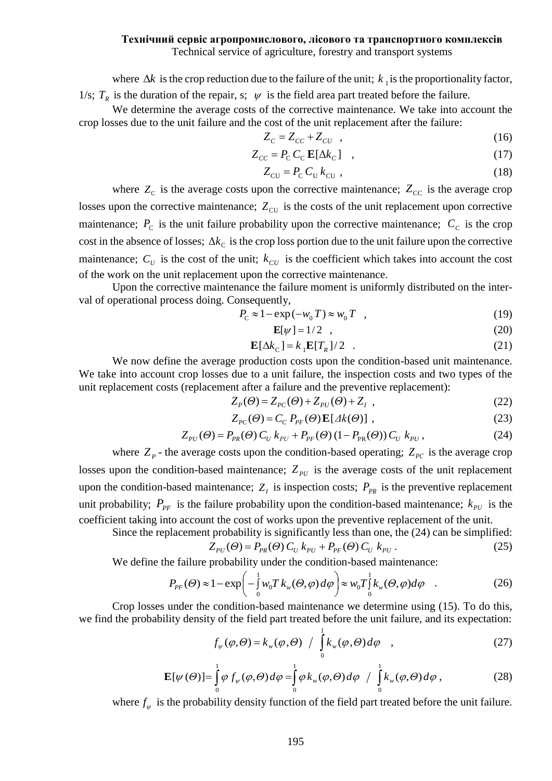where  $\Delta k$  is the crop reduction due to the failure of the unit;  $k_1$  is the proportionality factor, 1/s;  $T_R$  is the duration of the repair, s;  $\psi$  is the field area part treated before the failure.

We determine the average costs of the corrective maintenance. We take into account the crop losses due to the unit failure and the cost of the unit replacement after the failure:

$$
Z_c = Z_{cc} + Z_{cv} \quad , \tag{16}
$$

$$
Z_{cc} = P_{\rm c} C_{\rm c} \mathbf{E} [\Delta k_c] \quad , \tag{17}
$$

$$
Z_{\rm CU} = P_{\rm C} C_{\rm U} k_{\rm CU} , \qquad (18)
$$

where  $Z_c$  is the average costs upon the corrective maintenance;  $Z_{cc}$  is the average crop losses upon the corrective maintenance;  $Z_{\text{CU}}$  is the costs of the unit replacement upon corrective maintenance;  $P_c$  is the unit failure probability upon the corrective maintenance;  $C_c$  is the crop cost in the absence of losses;  $\Delta k_c$  is the crop loss portion due to the unit failure upon the corrective maintenance;  $C_U$  is the cost of the unit;  $k_{CU}$  is the coefficient which takes into account the cost of the work on the unit replacement upon the corrective maintenance.

Upon the corrective maintenance the failure moment is uniformly distributed on the interval of operational process doing. Consequently,

$$
P_{\rm c} \approx 1 - \exp(-w_0 T) \approx w_0 T \quad , \tag{19}
$$

$$
\mathbf{E}[\psi] = 1/2 \quad , \tag{20}
$$

$$
\mathbf{E}[\Delta k_{\rm C}] = k_{\rm I} \mathbf{E}[T_R]/2 \quad . \tag{21}
$$

We now define the average production costs upon the condition-based unit maintenance. We take into account crop losses due to a unit failure, the inspection costs and two types of the unit replacement costs (replacement after a failure and the preventive replacement):

$$
Z_p(\Theta) = Z_{pc}(\Theta) + Z_{pv}(\Theta) + Z_1 , \qquad (22)
$$

$$
Z_{PC}(\Theta) = C_C P_{PF}(\Theta) \mathbf{E}[A k(\Theta)] \tag{23}
$$

$$
Z_{PU}(\Theta) = P_{PR}(\Theta) C_U k_{PU} + P_{PF}(\Theta) (1 - P_{PR}(\Theta)) C_U k_{PU},
$$
\n(24)

where  $Z_p$  - the average costs upon the condition-based operating;  $Z_{pc}$  is the average crop losses upon the condition-based maintenance;  $Z_{pU}$  is the average costs of the unit replacement upon the condition-based maintenance;  $Z_I$  is inspection costs;  $P_{PR}$  is the preventive replacement unit probability;  $P_{PF}$  is the failure probability upon the condition-based maintenance;  $k_{PU}$  is the coefficient taking into account the cost of works upon the preventive replacement of the unit.

Since the replacement probability is significantly less than one, the (24) can be simplified:

$$
Z_{PU}(\Theta) = P_{PR}(\Theta) C_U k_{PU} + P_{PF}(\Theta) C_U k_{PU}.
$$
 (25)

We define the failure probability under the condition-based maintenance:

$$
P_{PF}(\Theta) \approx 1 - \exp\left(-\frac{1}{0}w_0 T k_w(\Theta, \varphi) d\varphi\right) \approx w_0 T_0^{\frac{1}{2}} k_w(\Theta, \varphi) d\varphi
$$
 (26)

Crop losses under the condition-based maintenance we determine using (15). To do this, we find the probability density of the field part treated before the unit failure, and its expectation:

$$
f_{\psi}(\varphi,\Theta) = k_{\psi}(\varphi,\Theta) / \int_{0}^{1} k_{\psi}(\varphi,\Theta) d\varphi , \qquad (27)
$$

$$
\mathbf{E}[\psi(\Theta)] = \int_{0}^{1} \varphi f_{\psi}(\varphi, \Theta) d\varphi = \int_{0}^{1} \varphi k_{\psi}(\varphi, \Theta) d\varphi / \int_{0}^{1} k_{\psi}(\varphi, \Theta) d\varphi , \qquad (28)
$$

where  $f_{\psi}$  is the probability density function of the field part treated before the unit failure.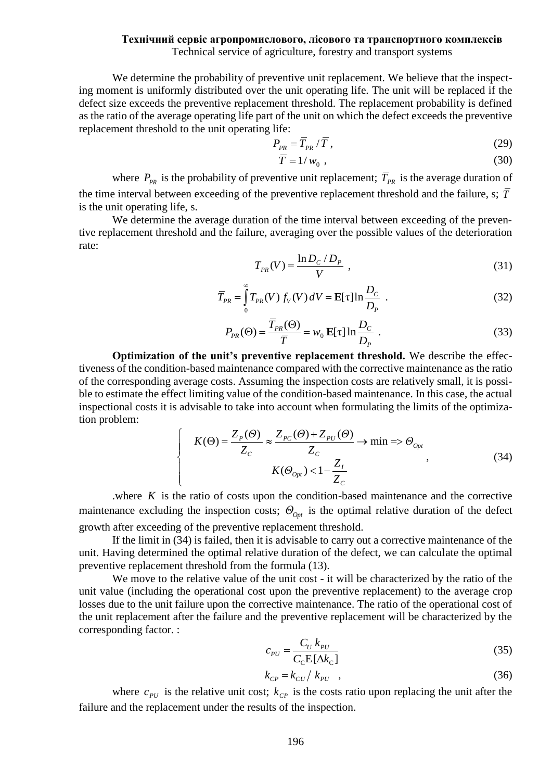We determine the probability of preventive unit replacement. We believe that the inspecting moment is uniformly distributed over the unit operating life. The unit will be replaced if the defect size exceeds the preventive replacement threshold. The replacement probability is defined as the ratio of the average operating life part of the unit on which the defect exceeds the preventive replacement threshold to the unit operating life:

$$
P_{PR} = \overline{T}_{PR} / \overline{T}, \qquad (29)
$$

$$
\overline{T} = 1/w_0 , \qquad (30)
$$

where  $P_{PR}$  is the probability of preventive unit replacement;  $T_{PR}$  is the average duration of the time interval between exceeding of the preventive replacement threshold and the failure, s; *T* is the unit operating life, s.

We determine the average duration of the time interval between exceeding of the preventive replacement threshold and the failure, averaging over the possible values of the deterioration rate:

$$
T_{PR}(V) = \frac{\ln D_C / D_P}{V} \tag{31}
$$

$$
\overline{T}_{PR} = \int_{0}^{\infty} T_{PR}(V) f_V(V) dV = \mathbf{E}[\tau] \ln \frac{D_C}{D_P} \tag{32}
$$

$$
P_{PR}(\Theta) = \frac{\overline{T}_{PR}(\Theta)}{\overline{T}} = w_0 \mathbf{E}[\tau] \ln \frac{D_C}{D_P} \tag{33}
$$

**Optimization of the unit's preventive replacement threshold.** We describe the effectiveness of the condition-based maintenance compared with the corrective maintenance as the ratio of the corresponding average costs. Assuming the inspection costs are relatively small, it is possible to estimate the effect limiting value of the condition-based maintenance. In this case, the actual inspectional costs it is advisable to take into account when formulating the limits of the optimization problem:

$$
\begin{cases}\nK(\Theta) = \frac{Z_P(\Theta)}{Z_C} \approx \frac{Z_{PC}(\Theta) + Z_{PU}(\Theta)}{Z_C} \to \min \Rightarrow \Theta_{0pt} \\
K(\Theta_{0pt}) < 1 - \frac{Z_I}{Z_C}\n\end{cases},\tag{34}
$$

where  $K$  is the ratio of costs upon the condition-based maintenance and the corrective maintenance excluding the inspection costs;  $\Theta_{\rho p t}$  is the optimal relative duration of the defect growth after exceeding of the preventive replacement threshold.

If the limit in (34) is failed, then it is advisable to carry out a corrective maintenance of the unit. Having determined the optimal relative duration of the defect, we can calculate the optimal preventive replacement threshold from the formula (13).

We move to the relative value of the unit cost - it will be characterized by the ratio of the unit value (including the operational cost upon the preventive replacement) to the average crop losses due to the unit failure upon the corrective maintenance. The ratio of the operational cost of the unit replacement after the failure and the preventive replacement will be characterized by the corresponding factor. :

$$
c_{PU} = \frac{C_U k_{PU}}{C_{\rm C} E[\Delta k_{\rm C}]} \tag{35}
$$

$$
k_{CP} = k_{CU} / k_{PU} \quad , \tag{36}
$$

where  $c_{PU}$  is the relative unit cost;  $k_{CP}$  is the costs ratio upon replacing the unit after the failure and the replacement under the results of the inspection.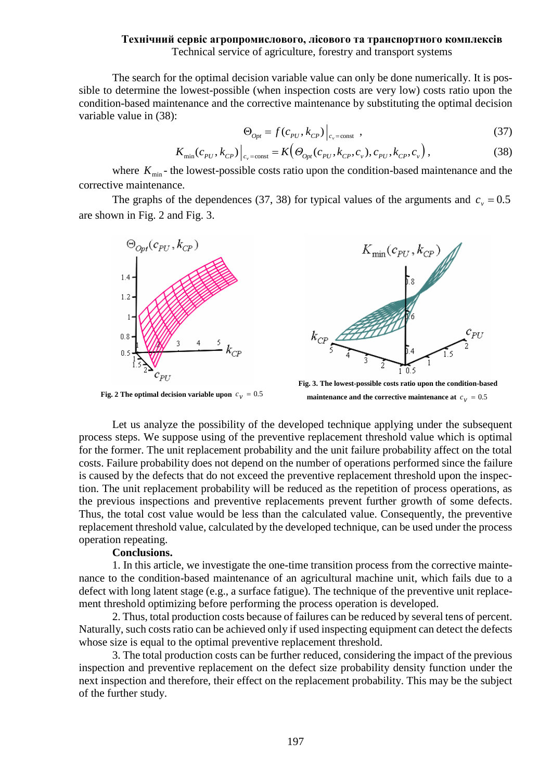The search for the optimal decision variable value can only be done numerically. It is possible to determine the lowest-possible (when inspection costs are very low) costs ratio upon the condition-based maintenance and the corrective maintenance by substituting the optimal decision variable value in (38):

$$
\Theta_{opt} = f(c_{PU}, k_{CP}) \Big|_{c_v = \text{const}} \tag{37}
$$

$$
K_{\min}(c_{\text{PU}}, k_{\text{CP}}) \Big|_{c_v = \text{const}} = K\Big(\Theta_{\text{Opt}}(c_{\text{PU}}, k_{\text{CP}}, c_v), c_{\text{PU}}, k_{\text{CP}}, c_v\Big),\tag{38}
$$

where  $K_{\min}$ - the lowest-possible costs ratio upon the condition-based maintenance and the corrective maintenance.

The graphs of the dependences (37, 38) for typical values of the arguments and  $c_y = 0.5$ are shown in Fig. 2 and Fig. 3.



**Fig. 2 The optimal decision variable upon**  $c_v = 0.5$ 



**Fig. 3. The lowest-possible costs ratio upon the condition-based**  maintenance and the corrective maintenance at  $c_v = 0.5$ 

Let us analyze the possibility of the developed technique applying under the subsequent process steps. We suppose using of the preventive replacement threshold value which is optimal for the former. The unit replacement probability and the unit failure probability affect on the total costs. Failure probability does not depend on the number of operations performed since the failure is caused by the defects that do not exceed the preventive replacement threshold upon the inspection. The unit replacement probability will be reduced as the repetition of process operations, as the previous inspections and preventive replacements prevent further growth of some defects. Thus, the total cost value would be less than the calculated value. Consequently, the preventive replacement threshold value, calculated by the developed technique, can be used under the process operation repeating.

# **Conclusions.**

1. In this article, we investigate the one-time transition process from the corrective maintenance to the condition-based maintenance of an agricultural machine unit, which fails due to a defect with long latent stage (e.g., a surface fatigue). The technique of the preventive unit replacement threshold optimizing before performing the process operation is developed.

2. Thus, total production costs because of failures can be reduced by several tens of percent. Naturally, such costs ratio can be achieved only if used inspecting equipment can detect the defects whose size is equal to the optimal preventive replacement threshold.

3. The total production costs can be further reduced, considering the impact of the previous inspection and preventive replacement on the defect size probability density function under the next inspection and therefore, their effect on the replacement probability. This may be the subject of the further study.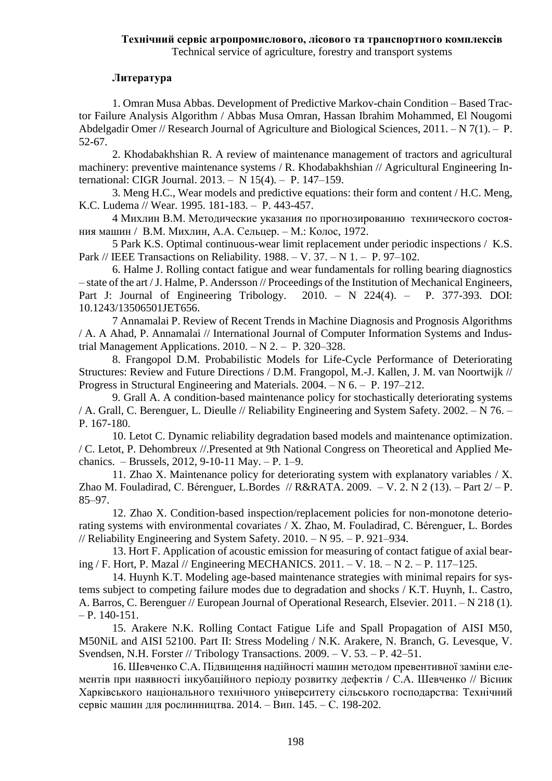# **Литература**

1. Omran Musa Abbas. Development of Predictive Markov-chain Condition – Based Tractor Failure Analysis Algorithm / Abbas Musa Omran, Hassan Ibrahim Mohammed, El Nougomi Abdelgadir Omer // Research Journal of Agriculture and Biological Sciences, 2011. – N 7(1). – P. 52-67.

2. Khodabakhshian R. A review of maintenance management of tractors and agricultural machinery: preventive maintenance systems / R. Khodabakhshian // Agricultural Engineering International: CIGR Journal. 2013. – N 15(4). – P. 147–159.

3. Meng H.C., Wear models and predictive equations: their form and content / H.C. Meng, K.C. Ludema // Wear. 1995. 181-183. – P. 443-457.

4 Михлин В.М. Методические указания по прогнозированию технического состояния машин / В.М. Михлин, А.А. Сельцер. – М.: Колос, 1972.

5 Park K.S. Optimal continuous-wear limit replacement under periodic inspections / K.S. Park // IEEE Transactions on Reliability. 1988. – V. 37. – N 1. – P. 97–102.

6. Halme J. Rolling contact fatigue and wear fundamentals for rolling bearing diagnostics – state of the art /J. Halme, P. Andersson // Proceedings of the Institution of Mechanical Engineers, Part J: Journal of Engineering Tribology. 2010. – N 224(4). – P. 377-393. DOI: 10.1243/13506501JET656.

7 Annamalai P. Review of Recent Trends in Machine Diagnosis and Prognosis Algorithms / A. A Ahad, P. Annamalai // International Journal of Computer Information Systems and Industrial Management Applications.  $2010. - N 2. - P. 320-328.$ 

8. Frangopol D.M. Probabilistic Models for Life-Cycle Performance of Deteriorating Structures: Review and Future Directions / D.M. Frangopol, M.-J. Kallen, J. M. van Noortwijk // Progress in Structural Engineering and Materials. 2004. – N 6. – P. 197–212.

9. Grall A. A condition-based maintenance policy for stochastically deteriorating systems / A. Grall, C. Berenguer, L. Dieulle // Reliability Engineering and System Safety. 2002. – N 76. – P. 167-180.

10. Letot C. Dynamic reliability degradation based models and maintenance optimization. / C. Letot, P. Dehombreux //.Presented at 9th National Congress on Theoretical and Applied Mechanics. – Brussels, 2012, 9-10-11 May. – P. 1–9.

11. Zhao X. Maintenance policy for deteriorating system with explanatory variables / X. Zhao M. Fouladirad, C. Bérenguer, L.Bordes  $// R&RATA. 2009. -V. 2. N 2 (13). - Part 2/-P.$ 85–97.

12. Zhao X. Condition-based inspection/replacement policies for non-monotone deteriorating systems with environmental covariates / X. Zhao, M. Fouladirad, C. Bérenguer, L. Bordes // Reliability Engineering and System Safety. 2010. – N 95. – P. 921–934.

13. Hort F. Application of acoustic emission for measuring of contact fatigue of axial bearing / F. Hort, P. Mazal // Engineering MECHANICS. 2011. – V. 18. – N 2. – P. 117–125.

14. Huynh K.T. Modeling age-based maintenance strategies with minimal repairs for systems subject to competing failure modes due to degradation and shocks / K.T. Huynh, I.. Castro, A. Barros, C. Berenguer // European Journal of Operational Research, Elsevier. 2011. – N 218 (1).  $- P. 140 - 151.$ 

15. Arakere N.K. Rolling Contact Fatigue Life and Spall Propagation of AISI M50, M50NiL and AISI 52100. Part II: Stress Modeling / N.K. Arakere, N. Branch, G. Levesque, V. Svendsen, N.H. Forster // Tribology Transactions. 2009. – V. 53. – P. 42–51.

16. Шевченко С.А. Підвищення надійності машин методом превентивної заміни елементів при наявності інкубаційного періоду розвитку дефектів / С.А. Шевченко // Вісник Харківського національного технічного університету сільського господарства: Технічний сервіс машин для рослинництва. 2014. – Вип. 145. – С. 198-202.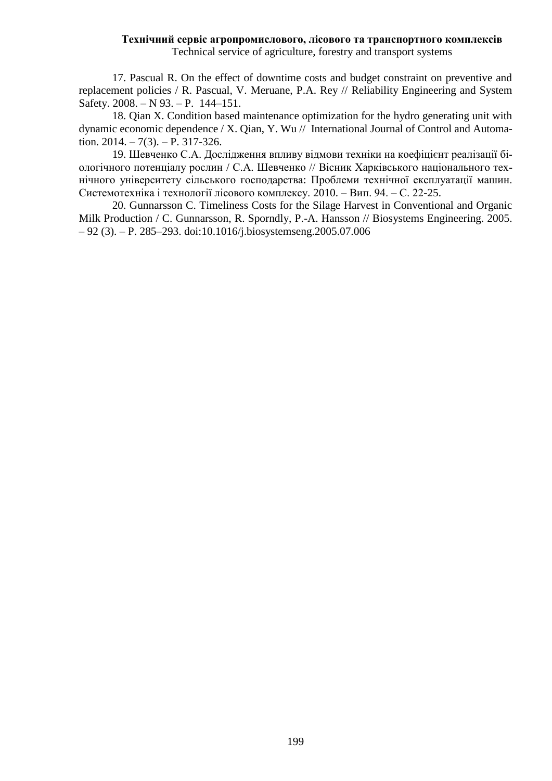17. Pascual R. On the effect of downtime costs and budget constraint on preventive and replacement policies / R. Pascual, V. Meruane, P.A. Rey // Reliability Engineering and System Safety. 2008. – N 93. – P. 144–151.

18. Qian X. Condition based maintenance optimization for the hydro generating unit with dynamic economic dependence / X. Qian, Y. Wu // International Journal of Control and Automation.  $2014. - 7(3)$ .  $- P. 317-326$ .

19. Шевченко С.А. Дослідження впливу відмови техніки на коефіцієнт реалізації біологічного потенціалу рослин / С.А. Шевченко // Вісник Харківського національного технічного університету сільського господарства: Проблеми технічної експлуатації машин. Системотехніка і технології лісового комплексу. 2010. – Вип. 94. – С. 22-25.

20. Gunnarsson C. Timeliness Costs for the Silage Harvest in Conventional and Organic Milk Production / C. Gunnarsson, R. Sporndly, P.-A. Hansson // Biosystems Engineering. 2005. – 92 (3). – P. 285–293. doi:10.1016/j.biosystemseng.2005.07.006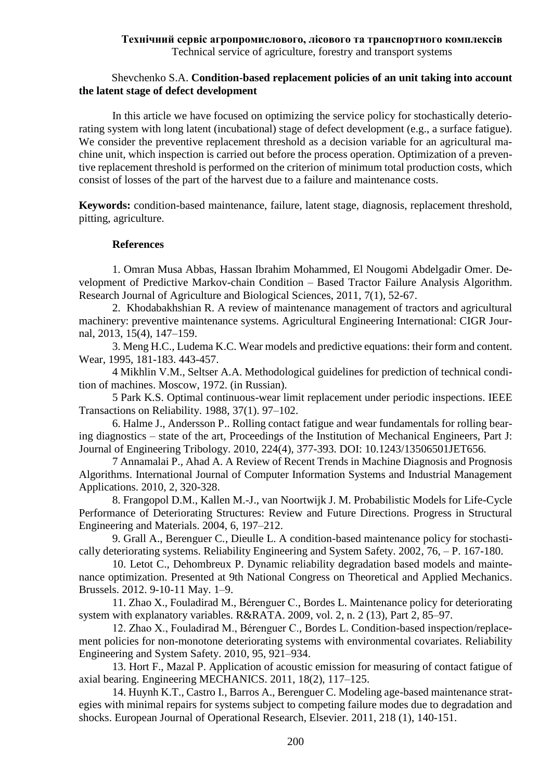# Shevchenko S.A. **Condition-based replacement policies of an unit taking into account the latent stage of defect development**

In this article we have focused on optimizing the service policy for stochastically deteriorating system with long latent (incubational) stage of defect development (e.g., a surface fatigue). We consider the preventive replacement threshold as a decision variable for an agricultural machine unit, which inspection is carried out before the process operation. Optimization of a preventive replacement threshold is performed on the criterion of minimum total production costs, which consist of losses of the part of the harvest due to a failure and maintenance costs.

**Keywords:** condition-based maintenance, failure, latent stage, diagnosis, replacement threshold, pitting, agriculture.

## **References**

1. Omran Musa Abbas, Hassan Ibrahim Mohammed, El Nougomi Abdelgadir Omer. Development of Predictive Markov-chain Condition – Based Tractor Failure Analysis Algorithm. Research Journal of Agriculture and Biological Sciences, 2011, 7(1), 52-67.

2. Khodabakhshian R. A review of maintenance management of tractors and agricultural machinery: preventive maintenance systems. Agricultural Engineering International: CIGR Journal, 2013, 15(4), 147–159.

3. Meng H.C., Ludema K.C. Wear models and predictive equations: their form and content. Wear, 1995, 181-183. 443-457.

4 Mikhlin V.M., Seltser A.A. Methodological guidelines for prediction of technical condition of machines. Moscow, 1972. (in Russian).

5 Park K.S. Optimal continuous-wear limit replacement under periodic inspections. IEEE Transactions on Reliability. 1988, 37(1). 97–102.

6. Halme J., Andersson P.. Rolling contact fatigue and wear fundamentals for rolling bearing diagnostics – state of the art, Proceedings of the Institution of Mechanical Engineers, Part J: Journal of Engineering Tribology. 2010, 224(4), 377-393. DOI: 10.1243/13506501JET656.

7 Annamalai P., Ahad A. A Review of Recent Trends in Machine Diagnosis and Prognosis Algorithms. International Journal of Computer Information Systems and Industrial Management Applications. 2010, 2, 320-328.

8. Frangopol D.M., Kallen M.-J., van Noortwijk J. M. Probabilistic Models for Life-Cycle Performance of Deteriorating Structures: Review and Future Directions. Progress in Structural Engineering and Materials. 2004, 6, 197–212.

9. Grall A., Berenguer C., Dieulle L. A condition-based maintenance policy for stochastically deteriorating systems. Reliability Engineering and System Safety. 2002, 76, – P. 167-180.

10. Letot C., Dehombreux P. Dynamic reliability degradation based models and maintenance optimization. Presented at 9th National Congress on Theoretical and Applied Mechanics. Brussels. 2012. 9-10-11 May. 1–9.

11. Zhao X., Fouladirad M., Bérenguer C., Bordes L. Maintenance policy for deteriorating system with explanatory variables. R&RATA. 2009, vol. 2, n. 2 (13), Part 2, 85–97.

12. Zhao X., Fouladirad M., Bérenguer C., Bordes L. Condition-based inspection/replacement policies for non-monotone deteriorating systems with environmental covariates. Reliability Engineering and System Safety. 2010, 95, 921–934.

13. Hort F., Mazal P. Application of acoustic emission for measuring of contact fatigue of axial bearing. Engineering MECHANICS. 2011, 18(2), 117–125.

14. Huynh K.T., Castro I., Barros A., Berenguer C. Modeling age-based maintenance strategies with minimal repairs for systems subject to competing failure modes due to degradation and shocks. European Journal of Operational Research, Elsevier. 2011, 218 (1), 140-151.